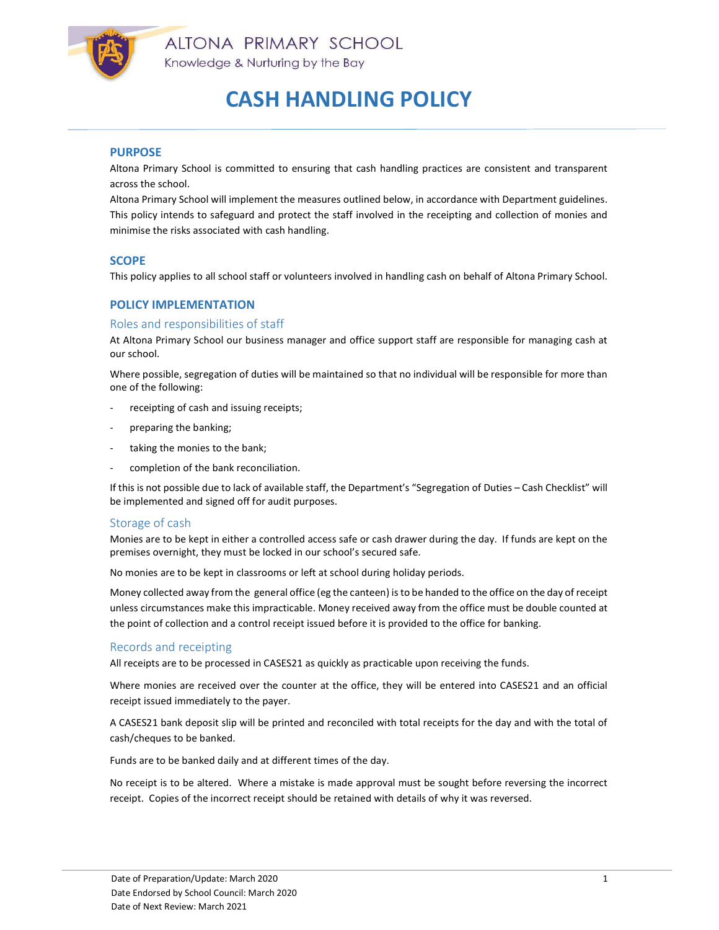

# CASH HANDLING POLICY

### PURPOSE

Altona Primary School is committed to ensuring that cash handling practices are consistent and transparent across the school.

Altona Primary School will implement the measures outlined below, in accordance with Department guidelines. This policy intends to safeguard and protect the staff involved in the receipting and collection of monies and minimise the risks associated with cash handling.

## **SCOPE**

This policy applies to all school staff or volunteers involved in handling cash on behalf of Altona Primary School.

# POLICY IMPLEMENTATION

### Roles and responsibilities of staff

At Altona Primary School our business manager and office support staff are responsible for managing cash at our school.

Where possible, segregation of duties will be maintained so that no individual will be responsible for more than one of the following:

- receipting of cash and issuing receipts;
- preparing the banking;
- taking the monies to the bank;
- completion of the bank reconciliation.

If this is not possible due to lack of available staff, the Department's "Segregation of Duties – Cash Checklist" will be implemented and signed off for audit purposes.

### Storage of cash

Monies are to be kept in either a controlled access safe or cash drawer during the day. If funds are kept on the premises overnight, they must be locked in our school's secured safe.

No monies are to be kept in classrooms or left at school during holiday periods.

Money collected away from the general office (eg the canteen) is to be handed to the office on the day of receipt unless circumstances make this impracticable. Money received away from the office must be double counted at the point of collection and a control receipt issued before it is provided to the office for banking.

### Records and receipting

All receipts are to be processed in CASES21 as quickly as practicable upon receiving the funds.

Where monies are received over the counter at the office, they will be entered into CASES21 and an official receipt issued immediately to the payer.

A CASES21 bank deposit slip will be printed and reconciled with total receipts for the day and with the total of cash/cheques to be banked.

Funds are to be banked daily and at different times of the day.

No receipt is to be altered. Where a mistake is made approval must be sought before reversing the incorrect receipt. Copies of the incorrect receipt should be retained with details of why it was reversed.